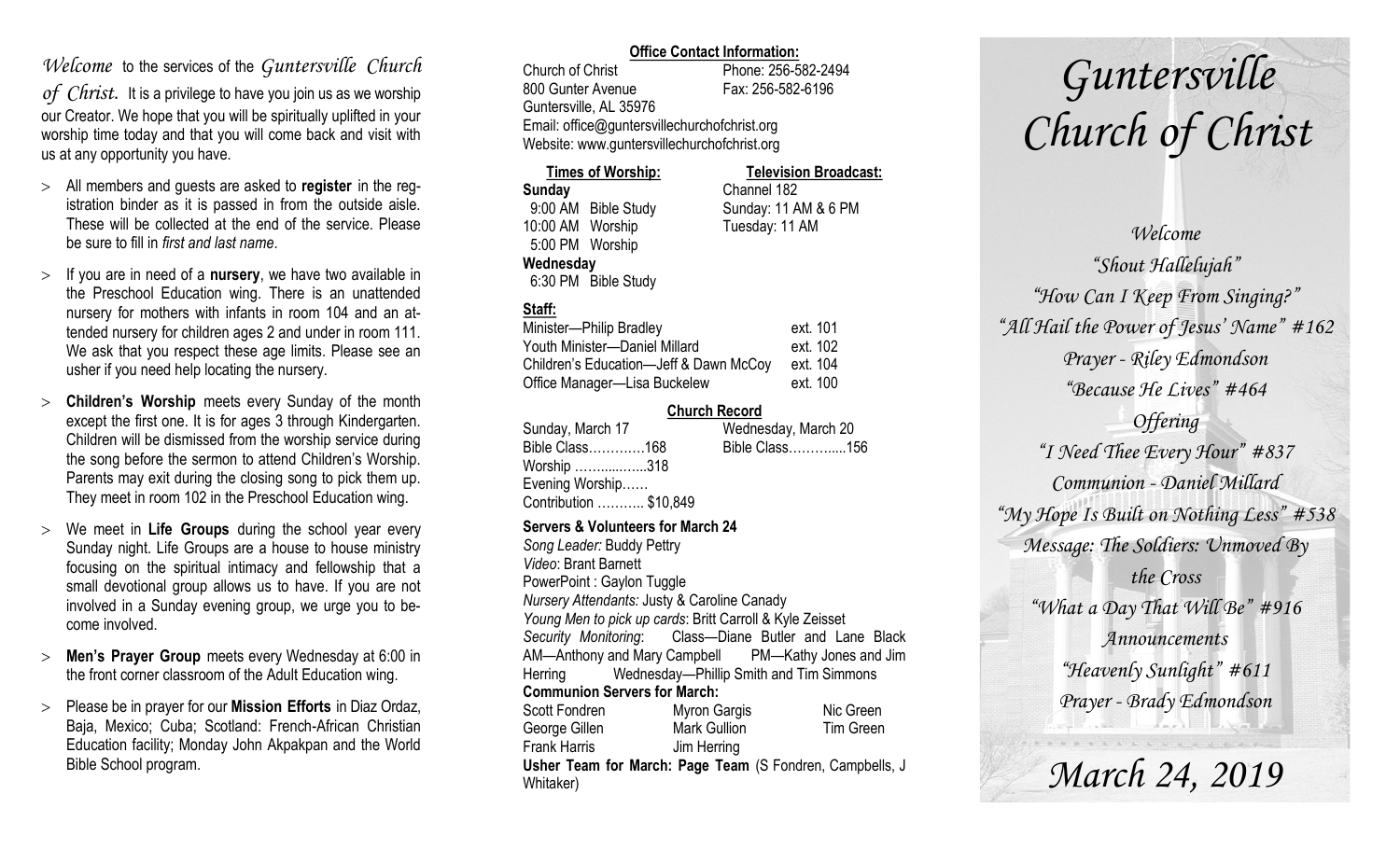### *Welcome* to the services of the *Guntersville Church*

*of Christ*. It is a privilege to have you join us as we worship our Creator. We hope that you will be spiritually uplifted in your worship time today and that you will come back and visit with us at any opportunity you have.

- All members and guests are asked to **register** in the registration binder as it is passed in from the outside aisle. These will be collected at the end of the service. Please be sure to fill in *first and last name*.
- $>$  If you are in need of a **nursery**, we have two available in the Preschool Education wing. There is an unattended nursery for mothers with infants in room 104 and an attended nursery for children ages 2 and under in room 111. We ask that you respect these age limits. Please see an usher if you need help locating the nursery.
- **Children's Worship** meets every Sunday of the month except the first one. It is for ages 3 through Kindergarten. Children will be dismissed from the worship service during the song before the sermon to attend Children's Worship. Parents may exit during the closing song to pick them up. They meet in room 102 in the Preschool Education wing.
- We meet in **Life Groups** during the school year every Sunday night. Life Groups are a house to house ministry focusing on the spiritual intimacy and fellowship that a small devotional group allows us to have. If you are not involved in a Sunday evening group, we urge you to become involved.
- **Men's Prayer Group** meets every Wednesday at 6:00 in the front corner classroom of the Adult Education wing.
- Please be in prayer for our **Mission Efforts** in Diaz Ordaz, Baja, Mexico; Cuba; Scotland: French-African Christian Education facility; Monday John Akpakpan and the World Bible School program.

### **Office Contact Information:**

Church of Christ Phone: 256-582-2494 800 Gunter Avenue Fax: 256-582-6196 Guntersville, AL 35976 Email: office@guntersvillechurchofchrist.org Website: www.guntersvillechurchofchrist.org

#### **Times of Worship: Television Broadcast: Sunday** Channel 182 9:00 AM Bible Study Sunday: 11 AM & 6 PM 10:00 AM Worship Tuesday: 11 AM 5:00 PM Worship **Wednesday** 6:30 PM Bible Study

### **Staff:**

| Minister-Philip Bradley                | ext. 101 |
|----------------------------------------|----------|
| Youth Minister-Daniel Millard          | ext. 102 |
| Children's Education-Jeff & Dawn McCoy | ext. 104 |
| Office Manager-Lisa Buckelew           | ext. 100 |

### **Church Record**

| Wednesday, March 20                                                        |                |
|----------------------------------------------------------------------------|----------------|
|                                                                            |                |
|                                                                            |                |
|                                                                            |                |
|                                                                            |                |
| Bible Class168<br>Worship 318<br>Evening Worship<br>Contribution  \$10,849 | Bible Class156 |

### **Servers & Volunteers for March 24**

*Song Leader:* Buddy Pettry *Video*: Brant Barnett PowerPoint : Gaylon Tuggle *Nursery Attendants:* Justy & Caroline Canady *Young Men to pick up cards*: Britt Carroll & Kyle Zeisset *Security Monitoring*: Class—Diane Butler and Lane Black AM—Anthony and Mary Campbell PM—Kathy Jones and Jim Herring Wednesday—Phillip Smith and Tim Simmons **Communion Servers for March:**  Scott Fondren Myron Gargis Nic Green George Gillen Mark Gullion Tim Green Frank Harris Jim Herring **Usher Team for March: Page Team** (S Fondren, Campbells, J Whitaker)

# *Guntersville Church of Christ*

*Welcome "Shout Hallelujah" "How Can I Keep From Singing?" "All Hail the Power of Jesus' Name" #162 Prayer - Riley Edmondson "Because He Lives" #464 Offering "I Need Thee Every Hour" #837 Communion - Daniel Millard "My Hope Is Built on Nothing Less" #538 Message: The Soldiers: Unmoved By the Cross "What a Day That Will Be" #916 Announcements "Heavenly Sunlight" #611 Prayer - Brady Edmondson*

*March 24, 2019*